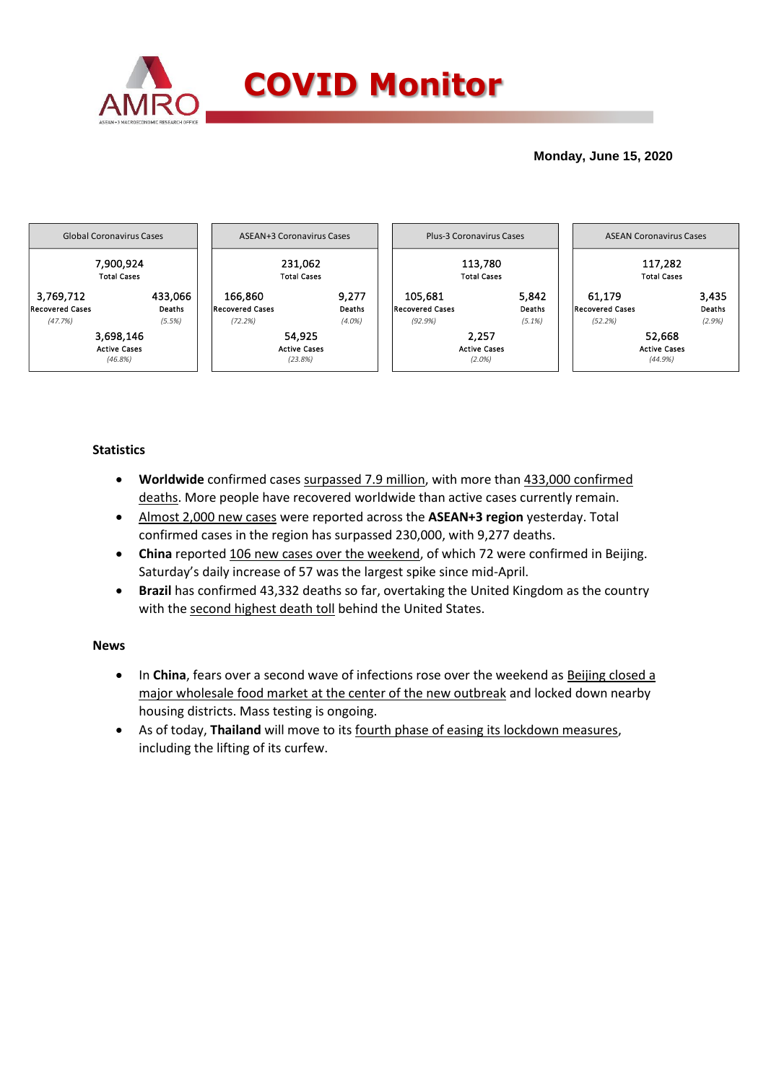

## **Monday, June 15, 2020**



# **Statistics**

- **Worldwide** confirmed cases surpassed 7.9 million, with more than 433,000 confirmed deaths. More people have recovered worldwide than active cases currently remain.
- Almost 2,000 new cases were reported across the **ASEAN+3 region** yesterday. Total confirmed cases in the region has surpassed 230,000, with 9,277 deaths.
- **China** reported 106 new cases over the weekend, of which 72 were confirmed in Beijing. Saturday's daily increase of 57 was the largest spike since mid-April.
- **Brazil** has confirmed 43,332 deaths so far, overtaking the United Kingdom as the country with the second highest death toll behind the United States.

### **News**

- In **China**, fears over a second wave of infections rose over the weekend as Beijing closed a major wholesale food market at the center of the new outbreak and locked down nearby housing districts. Mass testing is ongoing.
- As of today, **Thailand** will move to its fourth phase of easing its lockdown measures, including the lifting of its curfew.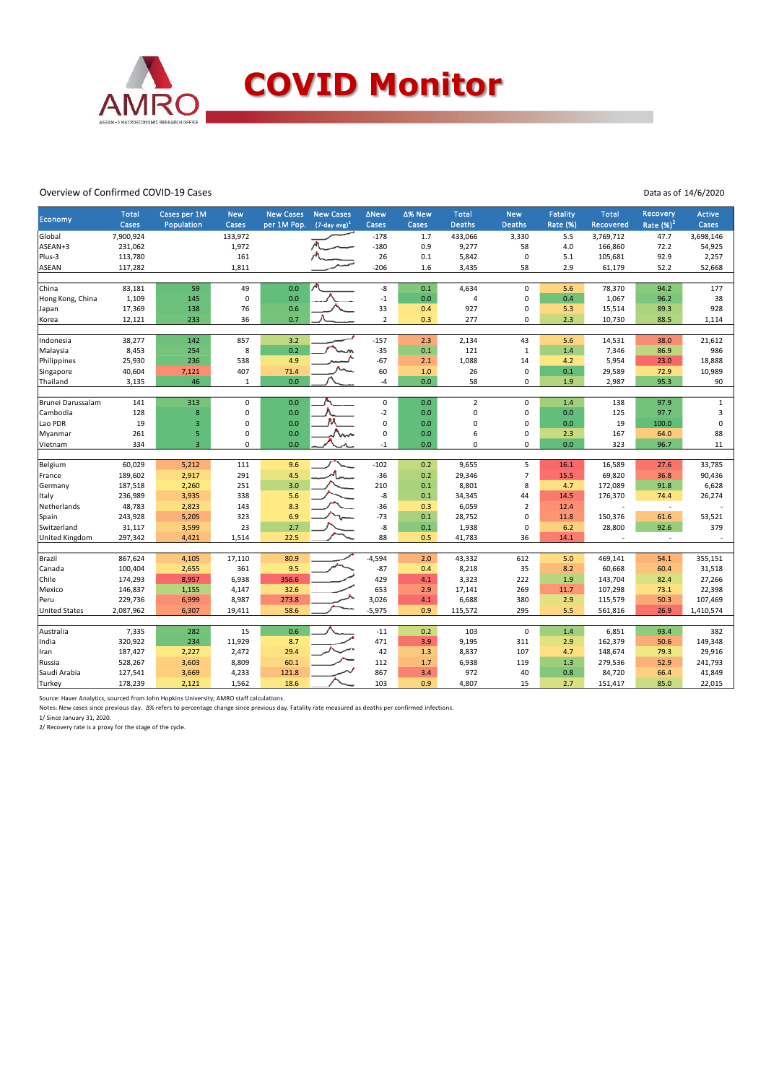

#### Overview of Confirmed COVID-19 Cases

Data as of 14/6/2020

| <b>Economy</b>       | <b>Total</b> | Cases per 1M   | <b>New</b>  | <b>New Cases</b> | <b>New Cases</b>            | ∆New           | ∆% New | <b>Total</b>   | <b>New</b>     | Fatality        | Total     | <b>Recovery</b> | <b>Active</b> |
|----------------------|--------------|----------------|-------------|------------------|-----------------------------|----------------|--------|----------------|----------------|-----------------|-----------|-----------------|---------------|
|                      | Cases        | Population     | Cases       | per 1M Pop.      | $(7$ -day avg) <sup>1</sup> | Cases          | Cases  | <b>Deaths</b>  | <b>Deaths</b>  | <b>Rate (%)</b> | Recovered | Rate $(%)2$     | Cases         |
| Global               | 7,900,924    |                | 133,972     |                  |                             | $-178$         | 1.7    | 433,066        | 3,330          | 5.5             | 3,769,712 | 47.7            | 3,698,146     |
| ASEAN+3              | 231,062      |                | 1,972       |                  |                             | $-180$         | 0.9    | 9,277          | 58             | 4.0             | 166,860   | 72.2            | 54,925        |
| Plus-3               | 113,780      |                | 161         |                  |                             | 26             | 0.1    | 5,842          | $\mathbf 0$    | 5.1             | 105,681   | 92.9            | 2,257         |
| <b>ASEAN</b>         | 117,282      |                | 1,811       |                  |                             | $-206$         | 1.6    | 3,435          | 58             | 2.9             | 61,179    | 52.2            | 52,668        |
| China                | 83,181       | 59             | 49          | 0.0              |                             | -8             | 0.1    | 4,634          | $\mathsf 0$    | 5.6             | 78,370    | 94.2            | 177           |
| Hong Kong, China     | 1,109        | 145            | $\pmb{0}$   | 0.0              |                             | $-1$           | 0.0    | $\overline{4}$ | $\mathbf 0$    | 0.4             | 1,067     | 96.2            | 38            |
| Japan                | 17,369       | 138            | 76          | 0.6              |                             | 33             | 0.4    | 927            | $\mathbf 0$    | 5.3             | 15,514    | 89.3            | 928           |
| Korea                | 12,121       | 233            | 36          | 0.7              |                             | $\overline{2}$ | 0.3    | 277            | $\mathbf 0$    | 2.3             | 10,730    | 88.5            | 1,114         |
|                      |              |                |             |                  |                             |                |        |                |                |                 |           |                 |               |
| Indonesia            | 38,277       | 142            | 857         | 3.2              |                             | $-157$         | 2.3    | 2,134          | 43             | 5.6             | 14,531    | 38.0            | 21,612        |
| Malaysia             | 8,453        | 254            | 8           | 0.2              |                             | $-35$          | 0.1    | 121            | $\mathbf{1}$   | 1.4             | 7,346     | 86.9            | 986           |
| Philippines          | 25,930       | 236            | 538         | 4.9              |                             | $-67$          | 2.1    | 1,088          | 14             | 4.2             | 5,954     | 23.0            | 18,888        |
| Singapore            | 40,604       | 7,121          | 407         | 71.4             |                             | 60             | $1.0$  | 26             | $\mathbf 0$    | 0.1             | 29,589    | 72.9            | 10,989        |
| Thailand             | 3,135        | 46             | $1\,$       | 0.0              |                             | $-4$           | 0.0    | 58             | 0              | 1.9             | 2,987     | 95.3            | 90            |
|                      |              |                |             |                  |                             |                |        |                |                |                 |           |                 |               |
| Brunei Darussalam    | 141          | 313            | $\pmb{0}$   | 0.0              |                             | $\mathsf 0$    | 0.0    | $\overline{2}$ | $\mathsf 0$    | 1.4             | 138       | 97.9            | $\mathbf{1}$  |
| Cambodia             | 128          | 8              | $\mathbf 0$ | 0.0              |                             | $-2$           | 0.0    | $\mathbf 0$    | $\mathbf 0$    | 0.0             | 125       | 97.7            | 3             |
| Lao PDR              | 19           | 3              | $\mathbf 0$ | 0.0              |                             | $\mathbf 0$    | 0.0    | 0              | $\mathbf 0$    | 0.0             | 19        | 100.0           | $\mathbf 0$   |
| Myanmar              | 261          | 5              | $\mathbf 0$ | 0.0              |                             | 0              | 0.0    | 6              | $\pmb{0}$      | 2.3             | 167       | 64.0            | 88            |
| Vietnam              | 334          | $\overline{3}$ | $\pmb{0}$   | 0.0              |                             | $-1$           | 0.0    | $\mathbf 0$    | $\mathbf 0$    | 0.0             | 323       | 96.7            | 11            |
| Belgium              | 60,029       | 5,212          | 111         | 9.6              |                             | $-102$         | 0.2    | 9,655          | 5              | 16.1            | 16,589    | 27.6            | 33,785        |
| France               | 189,602      | 2,917          | 291         | 4.5              |                             | $-36$          | 0.2    | 29,346         | $\overline{7}$ | 15.5            | 69,820    | 36.8            | 90,436        |
| Germany              | 187,518      | 2,260          | 251         | 3.0              |                             | 210            | 0.1    | 8,801          | 8              | 4.7             | 172,089   | 91.8            | 6,628         |
| Italy                | 236,989      | 3,935          | 338         | 5.6              |                             | -8             | 0.1    | 34,345         | 44             | 14.5            | 176,370   | 74.4            | 26,274        |
| Netherlands          | 48,783       | 2,823          | 143         | 8.3              |                             | $-36$          | 0.3    | 6,059          | $\overline{2}$ | 12.4            |           | ٠               |               |
| Spain                | 243,928      | 5,205          | 323         | 6.9              |                             | $-73$          | 0.1    | 28,752         | $\mathbf 0$    | 11.8            | 150,376   | 61.6            | 53,521        |
| Switzerland          | 31,117       | 3,599          | 23          | 2.7              |                             | -8             | 0.1    | 1,938          | $\mathbf 0$    | 6.2             | 28,800    | 92.6            | 379           |
| United Kingdom       | 297,342      | 4,421          | 1,514       | 22.5             |                             | 88             | 0.5    | 41,783         | 36             | 14.1            |           | $\sim$          |               |
|                      |              |                |             |                  |                             |                |        |                |                |                 |           |                 |               |
| Brazil               | 867,624      | 4,105          | 17,110      | 80.9             |                             | $-4,594$       | 2.0    | 43,332         | 612            | 5.0             | 469,141   | 54.1            | 355,151       |
| Canada               | 100,404      | 2,655          | 361         | 9.5              |                             | $-87$          | 0.4    | 8,218          | 35             | 8.2             | 60,668    | 60.4            | 31,518        |
| Chile                | 174,293      | 8,957          | 6,938       | 356.6            |                             | 429            | 4.1    | 3,323          | 222            | 1.9             | 143,704   | 82.4            | 27,266        |
| Mexico               | 146,837      | 1,155          | 4,147       | 32.6             |                             | 653            | 2.9    | 17,141         | 269            | 11.7            | 107,298   | 73.1            | 22,398        |
| Peru                 | 229,736      | 6,999          | 8,987       | 273.8            |                             | 3,026          | 4.1    | 6,688          | 380            | 2.9             | 115,579   | 50.3            | 107,469       |
| <b>United States</b> | 2,087,962    | 6,307          | 19,411      | 58.6             |                             | $-5,975$       | 0.9    | 115,572        | 295            | 5.5             | 561,816   | 26.9            | 1,410,574     |
|                      |              |                |             |                  |                             |                |        |                |                |                 |           |                 |               |
| Australia            | 7,335        | 282            | 15          | 0.6              |                             | $-11$          | 0.2    | 103            | $\mathsf 0$    | 1.4             | 6,851     | 93.4            | 382           |
| India                | 320,922      | 234            | 11,929      | 8.7              |                             | 471            | 3.9    | 9,195          | 311            | 2.9             | 162,379   | 50.6            | 149,348       |
| Iran                 | 187,427      | 2,227          | 2,472       | 29.4             |                             | 42             | 1.3    | 8,837          | 107            | 4.7             | 148,674   | 79.3            | 29,916        |
| Russia               | 528,267      | 3,603          | 8,809       | 60.1             |                             | 112            | 1.7    | 6,938          | 119            | 1.3             | 279,536   | 52.9            | 241,793       |
| Saudi Arabia         | 127,541      | 3,669          | 4,233       | 121.8            |                             | 867            | 3.4    | 972            | 40             | 0.8             | 84,720    | 66.4            | 41,849        |
| Turkey               | 178,239      | 2,121          | 1,562       | 18.6             |                             | 103            | 0.9    | 4,807          | 15             | 2.7             | 151,417   | 85.0            | 22,015        |

Source: Haver Analytics, sourced from John Hopkins University; AMRO staff calculations.<br>Notes: New cases since previous day. ∆% refers to percentage change since previous day. Fatality rate measured as deaths per confirme

2/ Recovery rate is a proxy for the stage of the cycle.